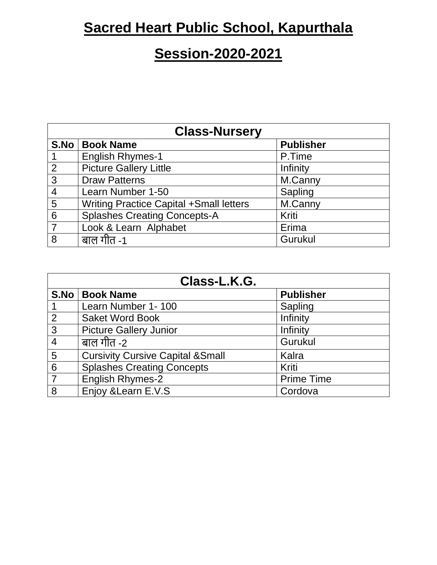## **Sacred Heart Public School, Kapurthala**

## **Session-2020-2021**

| <b>Class-Nursery</b> |                                                |                  |
|----------------------|------------------------------------------------|------------------|
| S.No                 | <b>Book Name</b>                               | <b>Publisher</b> |
|                      | <b>English Rhymes-1</b>                        | P.Time           |
| $\overline{2}$       | <b>Picture Gallery Little</b>                  | Infinity         |
| 3                    | <b>Draw Patterns</b>                           | M.Canny          |
| $\overline{4}$       | Learn Number 1-50                              | Sapling          |
| 5                    | <b>Writing Practice Capital +Small letters</b> | M.Canny          |
| 6                    | <b>Splashes Creating Concepts-A</b>            | Kriti            |
| 7                    | Look & Learn Alphabet                          | Erima            |
| 8                    | बाल गीत -1                                     | Gurukul          |

| Class-L.K.G.    |                                              |                   |
|-----------------|----------------------------------------------|-------------------|
|                 | S.No   Book Name                             | <b>Publisher</b>  |
|                 | Learn Number 1-100                           | Sapling           |
| $\overline{2}$  | <b>Saket Word Book</b>                       | Infinity          |
| 3               | <b>Picture Gallery Junior</b>                | Infinity          |
| $\overline{4}$  | बाल गीत -2                                   | Gurukul           |
| 5               | <b>Cursivity Cursive Capital &amp; Small</b> | Kalra             |
| $6\phantom{1}6$ | <b>Splashes Creating Concepts</b>            | Kriti             |
|                 | <b>English Rhymes-2</b>                      | <b>Prime Time</b> |
| 8               | Enjoy & Learn E.V.S                          | Cordova           |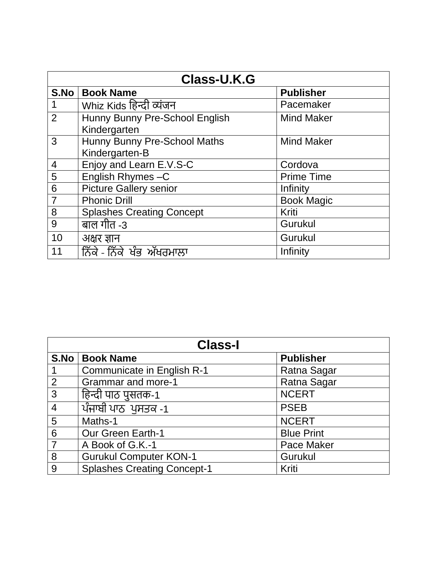| <b>Class-U.K.G</b> |                                  |                   |
|--------------------|----------------------------------|-------------------|
| S.No               | <b>Book Name</b>                 | <b>Publisher</b>  |
|                    | Whiz Kids हिन्दी व्यंजन          | Pacemaker         |
| 2                  | Hunny Bunny Pre-School English   | <b>Mind Maker</b> |
|                    | Kindergarten                     |                   |
| 3                  | Hunny Bunny Pre-School Maths     | <b>Mind Maker</b> |
|                    | Kindergarten-B                   |                   |
| 4                  | Enjoy and Learn E.V.S-C          | Cordova           |
| 5                  | English Rhymes-C                 | <b>Prime Time</b> |
| 6                  | <b>Picture Gallery senior</b>    | Infinity          |
| $\overline{7}$     | <b>Phonic Drill</b>              | <b>Book Magic</b> |
| 8                  | <b>Splashes Creating Concept</b> | Kriti             |
| 9                  | बाल गीत -3                       | Gurukul           |
| 10                 | अक्षर ज्ञान                      | Gurukul           |
| 11                 | ਨਿੱਕੇ - ਨਿੱਕੇ ਖੰਭ ਅੱਖਰਮਾਲਾ       | Infinity          |

| <b>Class-I</b> |                                    |                   |
|----------------|------------------------------------|-------------------|
|                | S.No   Book Name                   | <b>Publisher</b>  |
|                | Communicate in English R-1         | Ratna Sagar       |
| $\overline{2}$ | <b>Grammar and more-1</b>          | Ratna Sagar       |
| 3              | हिन्दी पाठ पुसतक-1                 | <b>NCERT</b>      |
| $\overline{4}$ | ਪੰਜਾਬੀ ਪਾਠ ਪੁਸਤਕ -1                | <b>PSEB</b>       |
| 5              | Maths-1                            | <b>NCERT</b>      |
| 6              | <b>Our Green Earth-1</b>           | <b>Blue Print</b> |
| $\overline{7}$ | A Book of G.K.-1                   | <b>Pace Maker</b> |
| 8              | <b>Gurukul Computer KON-1</b>      | Gurukul           |
| 9              | <b>Splashes Creating Concept-1</b> | Kriti             |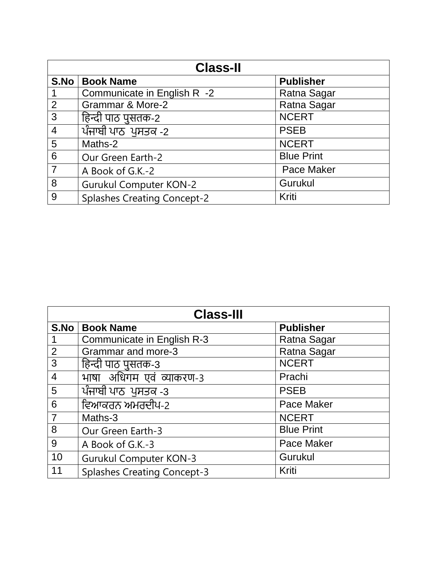| <b>Class-II</b> |                                    |                   |
|-----------------|------------------------------------|-------------------|
| S.No            | <b>Book Name</b>                   | <b>Publisher</b>  |
|                 | Communicate in English R -2        | Ratna Sagar       |
| $\overline{2}$  | <b>Grammar &amp; More-2</b>        | Ratna Sagar       |
| 3               | हिन्दी पाठ पुसतक-2                 | <b>NCERT</b>      |
| $\overline{4}$  | ਪੰਜਾਬੀ ਪਾਠ ਪੁਸਤਕ -2                | <b>PSEB</b>       |
| 5               | Maths-2                            | <b>NCERT</b>      |
| 6               | Our Green Earth-2                  | <b>Blue Print</b> |
| $\overline{7}$  | A Book of G.K.-2                   | <b>Pace Maker</b> |
| 8               | <b>Gurukul Computer KON-2</b>      | Gurukul           |
| 9               | <b>Splashes Creating Concept-2</b> | Kriti             |

|                | <b>Class-III</b>                   |                   |
|----------------|------------------------------------|-------------------|
| S.No           | <b>Book Name</b>                   | <b>Publisher</b>  |
|                | Communicate in English R-3         | Ratna Sagar       |
| $\overline{2}$ | <b>Grammar and more-3</b>          | Ratna Sagar       |
| $\mathfrak{S}$ | हिन्दी पाठ पुसतक-3                 | <b>NCERT</b>      |
| $\overline{4}$ | माषा अधिगम एवं व्याकरण-3           | Prachi            |
| 5              | ਪੰਜਾਬੀ ਪਾਠ ਪੁਸਤਕ -3                | <b>PSEB</b>       |
| 6              | ਵਿਆਕਰਨ ਅਮਰਦੀਪ-2                    | <b>Pace Maker</b> |
| $\overline{7}$ | Maths-3                            | <b>NCERT</b>      |
| 8              | Our Green Earth-3                  | <b>Blue Print</b> |
| 9              | A Book of G.K.-3                   | <b>Pace Maker</b> |
| 10             | <b>Gurukul Computer KON-3</b>      | Gurukul           |
| 11             | <b>Splashes Creating Concept-3</b> | Kriti             |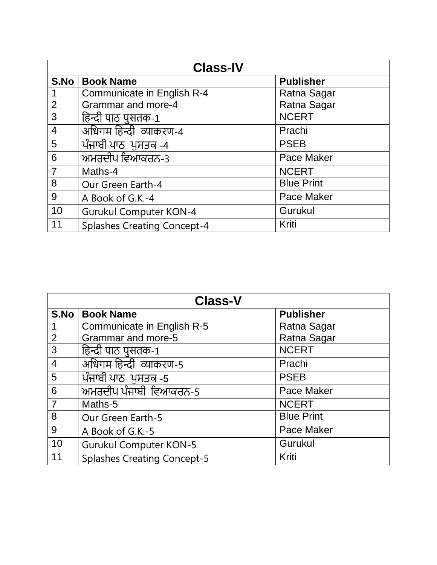|                | <b>Class-IV</b>                    |                   |
|----------------|------------------------------------|-------------------|
| S.No           | <b>Book Name</b>                   | <b>Publisher</b>  |
|                | <b>Communicate in English R-4</b>  | Ratna Sagar       |
| $\overline{2}$ | <b>Grammar and more-4</b>          | Ratna Sagar       |
| 3              | हिन्दी पाठ पुसतक-1                 | <b>NCERT</b>      |
| $\overline{4}$ | अधिगम हिन्दी व्याकरण-4             | Prachi            |
| $5\phantom{1}$ | ਪੰਜਾਬੀ ਪਾਠ ਪੁਸਤਕ -4                | <b>PSEB</b>       |
| 6              | ਅਮਰਦੀਪ ਵਿਆਕਰਨ-3                    | <b>Pace Maker</b> |
| $\overline{7}$ | Maths-4                            | <b>NCERT</b>      |
| 8              | Our Green Earth-4                  | <b>Blue Print</b> |
| 9              | A Book of G.K.-4                   | <b>Pace Maker</b> |
| 10             | <b>Gurukul Computer KON-4</b>      | Gurukul           |
| 11             | <b>Splashes Creating Concept-4</b> | Kriti             |

|                | <b>Class-V</b>                     |                   |
|----------------|------------------------------------|-------------------|
| S.No           | <b>Book Name</b>                   | <b>Publisher</b>  |
| 1              | Communicate in English R-5         | Ratna Sagar       |
| $\overline{2}$ | Grammar and more-5                 | Ratna Sagar       |
| 3              | हिन्दी पाठ पुसतक-1                 | <b>NCERT</b>      |
| $\overline{4}$ | अधिगम हिन्दी व्याकरण-5             | Prachi            |
| 5              | ਪੰਜਾਬੀ ਪਾਠ ਪੁਸਤਕ -5                | <b>PSEB</b>       |
| 6              | ਅਮਰਦੀਪ ਪੰਜਾਬੀ ਵਿਆਕਰਨ-5             | <b>Pace Maker</b> |
| $\overline{7}$ | Maths-5                            | <b>NCERT</b>      |
| 8              | Our Green Earth-5                  | <b>Blue Print</b> |
| 9              | A Book of G.K.-5                   | <b>Pace Maker</b> |
| 10             | <b>Gurukul Computer KON-5</b>      | Gurukul           |
| 11             | <b>Splashes Creating Concept-5</b> | Kriti             |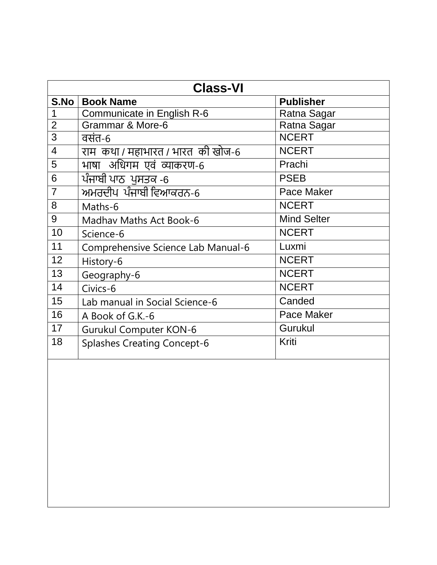| <b>Class-VI</b>          |                                    |                    |
|--------------------------|------------------------------------|--------------------|
| S.No                     | <b>Book Name</b>                   | <b>Publisher</b>   |
| 1                        | Communicate in English R-6         | Ratna Sagar        |
| $\overline{2}$           | Grammar & More-6                   | Ratna Sagar        |
| 3                        | वसंत-6                             | <b>NCERT</b>       |
| $\overline{\mathcal{A}}$ | राम कथा / महाभारत / भारत की खोज-6  | <b>NCERT</b>       |
| 5                        | भाषा अधिगम एवं व्याकरण-6           | Prachi             |
| 6                        | ਪੰਜਾਬੀ ਪਾਠ ਪਸਤਕ -6                 | <b>PSEB</b>        |
| $\overline{7}$           | ਅਮਰਦੀਪ ਪੰਜਾਬੀ ਵਿਆਕਰਨ-6             | Pace Maker         |
| 8                        | Maths-6                            | <b>NCERT</b>       |
| 9                        | <b>Madhay Maths Act Book-6</b>     | <b>Mind Selter</b> |
| 10                       | Science-6                          | <b>NCERT</b>       |
| 11                       | Comprehensive Science Lab Manual-6 | Luxmi              |
| 12                       | History-6                          | <b>NCERT</b>       |
| 13                       | Geography-6                        | <b>NCERT</b>       |
| 14                       | Civics-6                           | <b>NCERT</b>       |
| 15                       | Lab manual in Social Science-6     | Canded             |
| 16                       | A Book of G.K.-6                   | Pace Maker         |
| 17                       | <b>Gurukul Computer KON-6</b>      | Gurukul            |
| 18                       | <b>Splashes Creating Concept-6</b> | Kriti              |
|                          |                                    |                    |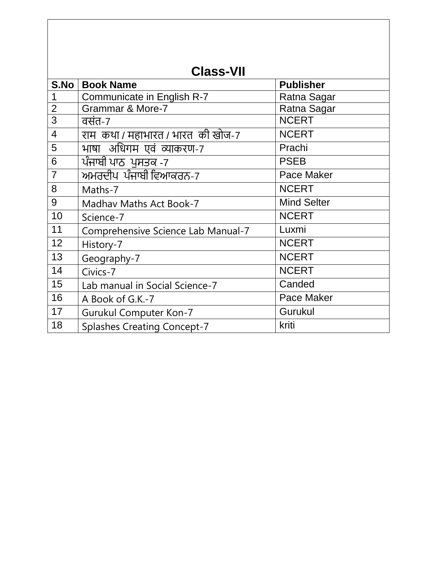|                | <b>Class-VII</b>                   |                    |
|----------------|------------------------------------|--------------------|
| S.No           | <b>Book Name</b>                   | <b>Publisher</b>   |
| 1              | Communicate in English R-7         | Ratna Sagar        |
| $\overline{2}$ | <b>Grammar &amp; More-7</b>        | Ratna Sagar        |
| 3              | वसंत-7                             | <b>NCERT</b>       |
| $\overline{4}$ | राम कथा / महाभारत / भारत की खोज-7  | <b>NCERT</b>       |
| 5              | भाषा अधिगम एवं व्याकरण-7           | Prachi             |
| 6              | ਪੰਜਾਬੀ ਪਾਠ ਪੁਸਤਕ -7                | <b>PSEB</b>        |
| $\overline{7}$ | ਅਮਰਦੀਪ ਪੰਜਾਬੀ ਵਿਆਕਰਨ-7             | Pace Maker         |
| 8              | Maths-7                            | <b>NCERT</b>       |
| 9              | <b>Madhav Maths Act Book-7</b>     | <b>Mind Selter</b> |
| 10             | Science-7                          | <b>NCERT</b>       |
| 11             | Comprehensive Science Lab Manual-7 | Luxmi              |
| 12             | History-7                          | <b>NCERT</b>       |
| 13             | Geography-7                        | <b>NCERT</b>       |
| 14             | Civics-7                           | <b>NCERT</b>       |
| 15             | Lab manual in Social Science-7     | Canded             |
| 16             | A Book of G.K.-7                   | <b>Pace Maker</b>  |
| 17             | <b>Gurukul Computer Kon-7</b>      | Gurukul            |
| 18             | <b>Splashes Creating Concept-7</b> | kriti              |